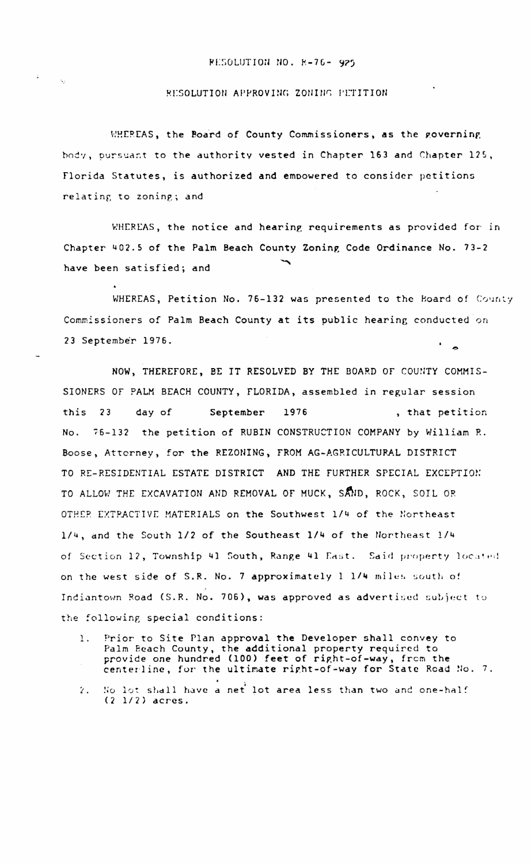## RESOLUTION NO. R-76- 925

## RESOLUTION APPROVING ZONING PETITION

WHEREAS, the Board of County Commissioners, as the governing body, pursuant to the authority vested in Chapter 163 and Chapter 125, Florida Statutes, is authorized and empowered to consider petitions relating to zoning; and

WHEREAS, the notice and hearing requirements as provided for in Chapter 402.5 of the Palm Beach County Zoning Code Ordinance No. 73-2 have been satisfied; and

WHEREAS, Petition No. 76-132 was presented to the Board of County Commissioners of Palm Beach County at its public hearing conducted on 23 September 1976.

NOW, THEREFORE, BE IT RESOLVED BY THE BOARD OF COUNTY COMMIS-SIONERS OF PALM BEACH COUNTY, FLORIDA, assembled in regular session this 23 day of September 1976 , that petition No. 76-132 the petition of RUBIN CONSTRUCTION COMPANY by William R. Boose, Attorney, for the REZONING, FROM AG-AGRICULTURAL DISTRICT TO RE-RESIDENTIAL ESTATE DISTRICT AND THE FURTHER SPECIAL EXCEPTION TO ALLOW THE EXCAVATION AND REMOVAL OF MUCK, SAND, ROCK, SOIL OR OTHER EXTRACTIVE MATERIALS on the Southwest 1/4 of the Northeast 1/4, and the South 1/2 of the Southeast 1/4 of the Northeast 1/4 of Section 12, Township 41 South, Range 41 East. Said property located on the west side of S.R. No. 7 approximately 1 1/4 miles south of Indiantown Road (S.R. No. 706), was approved as advertised subject to the following special conditions:

- Prior to Site Plan approval the Developer shall convey to 1. Palm Beach County, the additional property required to<br>provide one hundred (100) feet of right-of-way, from the<br>centerline, for the ultimate right-of-way for State Road No. 7.
- No lot shall have a net lot area less than two and one-half  $\mathcal{L}$ .  $(2 1/2)$  acres.